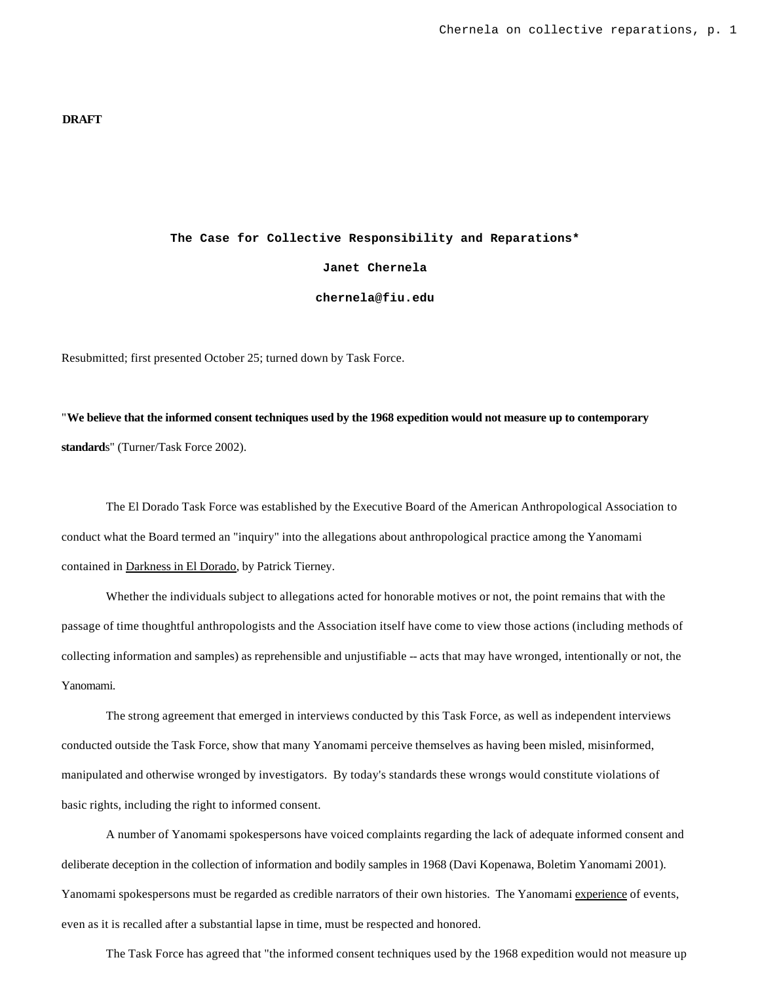#### **DRAFT**

# **The Case for Collective Responsibility and Reparations\* Janet Chernela chernela@fiu.edu**

Resubmitted; first presented October 25; turned down by Task Force.

"**We believe that the informed consent techniques used by the 1968 expedition would not measure up to contemporary standard**s" (Turner/Task Force 2002).

The El Dorado Task Force was established by the Executive Board of the American Anthropological Association to conduct what the Board termed an "inquiry" into the allegations about anthropological practice among the Yanomami contained in Darkness in El Dorado, by Patrick Tierney.

Whether the individuals subject to allegations acted for honorable motives or not, the point remains that with the passage of time thoughtful anthropologists and the Association itself have come to view those actions (including methods of collecting information and samples) as reprehensible and unjustifiable -- acts that may have wronged, intentionally or not, the Yanomami.

The strong agreement that emerged in interviews conducted by this Task Force, as well as independent interviews conducted outside the Task Force, show that many Yanomami perceive themselves as having been misled, misinformed, manipulated and otherwise wronged by investigators. By today's standards these wrongs would constitute violations of basic rights, including the right to informed consent.

A number of Yanomami spokespersons have voiced complaints regarding the lack of adequate informed consent and deliberate deception in the collection of information and bodily samples in 1968 (Davi Kopenawa, Boletim Yanomami 2001). Yanomami spokespersons must be regarded as credible narrators of their own histories. The Yanomami experience of events, even as it is recalled after a substantial lapse in time, must be respected and honored.

The Task Force has agreed that "the informed consent techniques used by the 1968 expedition would not measure up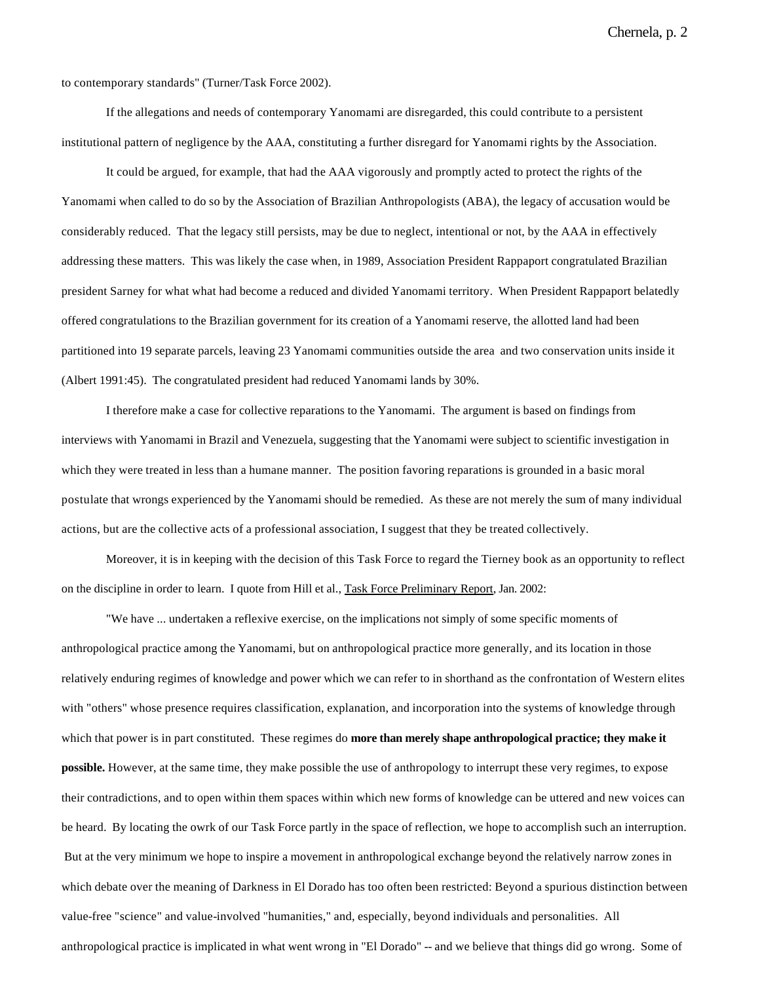Chernela, p. 2

to contemporary standards" (Turner/Task Force 2002).

If the allegations and needs of contemporary Yanomami are disregarded, this could contribute to a persistent institutional pattern of negligence by the AAA, constituting a further disregard for Yanomami rights by the Association.

It could be argued, for example, that had the AAA vigorously and promptly acted to protect the rights of the Yanomami when called to do so by the Association of Brazilian Anthropologists (ABA), the legacy of accusation would be considerably reduced. That the legacy still persists, may be due to neglect, intentional or not, by the AAA in effectively addressing these matters. This was likely the case when, in 1989, Association President Rappaport congratulated Brazilian president Sarney for what what had become a reduced and divided Yanomami territory. When President Rappaport belatedly offered congratulations to the Brazilian government for its creation of a Yanomami reserve, the allotted land had been partitioned into 19 separate parcels, leaving 23 Yanomami communities outside the area and two conservation units inside it (Albert 1991:45). The congratulated president had reduced Yanomami lands by 30%.

I therefore make a case for collective reparations to the Yanomami. The argument is based on findings from interviews with Yanomami in Brazil and Venezuela, suggesting that the Yanomami were subject to scientific investigation in which they were treated in less than a humane manner. The position favoring reparations is grounded in a basic moral postulate that wrongs experienced by the Yanomami should be remedied. As these are not merely the sum of many individual actions, but are the collective acts of a professional association, I suggest that they be treated collectively.

Moreover, it is in keeping with the decision of this Task Force to regard the Tierney book as an opportunity to reflect on the discipline in order to learn. I quote from Hill et al., Task Force Preliminary Report, Jan. 2002:

"We have ... undertaken a reflexive exercise, on the implications not simply of some specific moments of anthropological practice among the Yanomami, but on anthropological practice more generally, and its location in those relatively enduring regimes of knowledge and power which we can refer to in shorthand as the confrontation of Western elites with "others" whose presence requires classification, explanation, and incorporation into the systems of knowledge through which that power is in part constituted. These regimes do **more than merely shape anthropological practice; they make it possible.** However, at the same time, they make possible the use of anthropology to interrupt these very regimes, to expose their contradictions, and to open within them spaces within which new forms of knowledge can be uttered and new voices can be heard. By locating the owrk of our Task Force partly in the space of reflection, we hope to accomplish such an interruption. But at the very minimum we hope to inspire a movement in anthropological exchange beyond the relatively narrow zones in which debate over the meaning of Darkness in El Dorado has too often been restricted: Beyond a spurious distinction between value-free "science" and value-involved "humanities," and, especially, beyond individuals and personalities. All anthropological practice is implicated in what went wrong in "El Dorado" -- and we believe that things did go wrong. Some of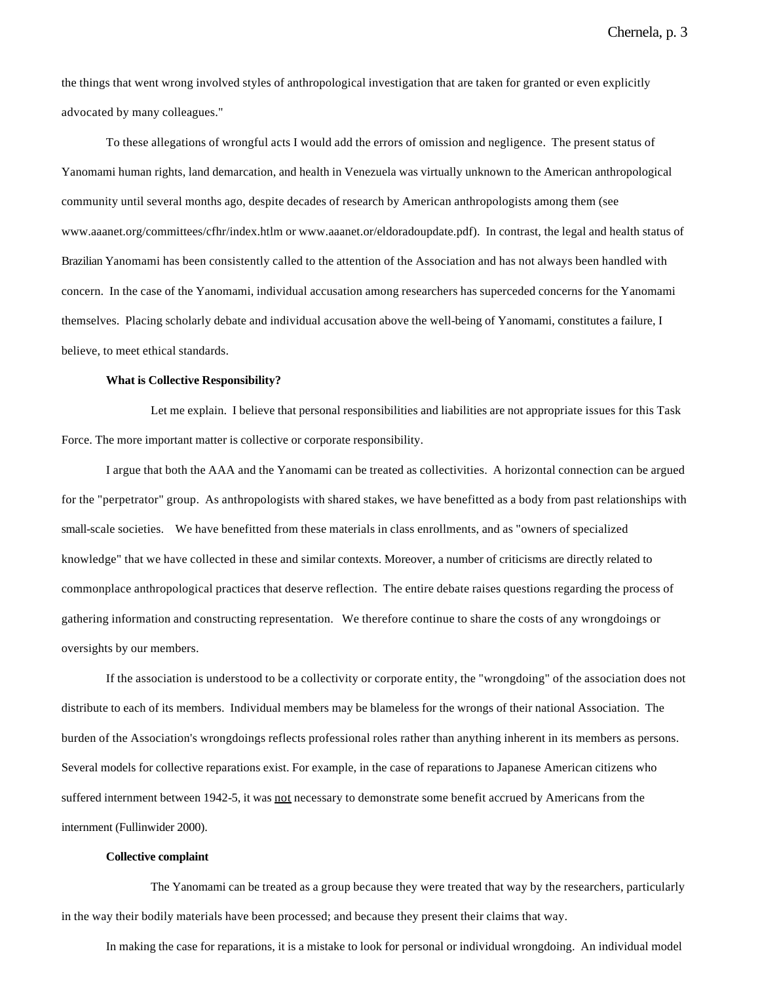Chernela, p. 3

the things that went wrong involved styles of anthropological investigation that are taken for granted or even explicitly advocated by many colleagues."

To these allegations of wrongful acts I would add the errors of omission and negligence. The present status of Yanomami human rights, land demarcation, and health in Venezuela was virtually unknown to the American anthropological community until several months ago, despite decades of research by American anthropologists among them (see www.aaanet.org/committees/cfhr/index.htlm or www.aaanet.or/eldoradoupdate.pdf). In contrast, the legal and health status of Brazilian Yanomami has been consistently called to the attention of the Association and has not always been handled with concern. In the case of the Yanomami, individual accusation among researchers has superceded concerns for the Yanomami themselves. Placing scholarly debate and individual accusation above the well-being of Yanomami, constitutes a failure, I believe, to meet ethical standards.

#### **What is Collective Responsibility?**

Let me explain. I believe that personal responsibilities and liabilities are not appropriate issues for this Task Force. The more important matter is collective or corporate responsibility.

I argue that both the AAA and the Yanomami can be treated as collectivities. A horizontal connection can be argued for the "perpetrator" group. As anthropologists with shared stakes, we have benefitted as a body from past relationships with small-scale societies. We have benefitted from these materials in class enrollments, and as "owners of specialized knowledge" that we have collected in these and similar contexts. Moreover, a number of criticisms are directly related to commonplace anthropological practices that deserve reflection. The entire debate raises questions regarding the process of gathering information and constructing representation. We therefore continue to share the costs of any wrongdoings or oversights by our members.

If the association is understood to be a collectivity or corporate entity, the "wrongdoing" of the association does not distribute to each of its members. Individual members may be blameless for the wrongs of their national Association. The burden of the Association's wrongdoings reflects professional roles rather than anything inherent in its members as persons. Several models for collective reparations exist. For example, in the case of reparations to Japanese American citizens who suffered internment between 1942-5, it was not necessary to demonstrate some benefit accrued by Americans from the internment (Fullinwider 2000).

#### **Collective complaint**

The Yanomami can be treated as a group because they were treated that way by the researchers, particularly in the way their bodily materials have been processed; and because they present their claims that way.

In making the case for reparations, it is a mistake to look for personal or individual wrongdoing. An individual model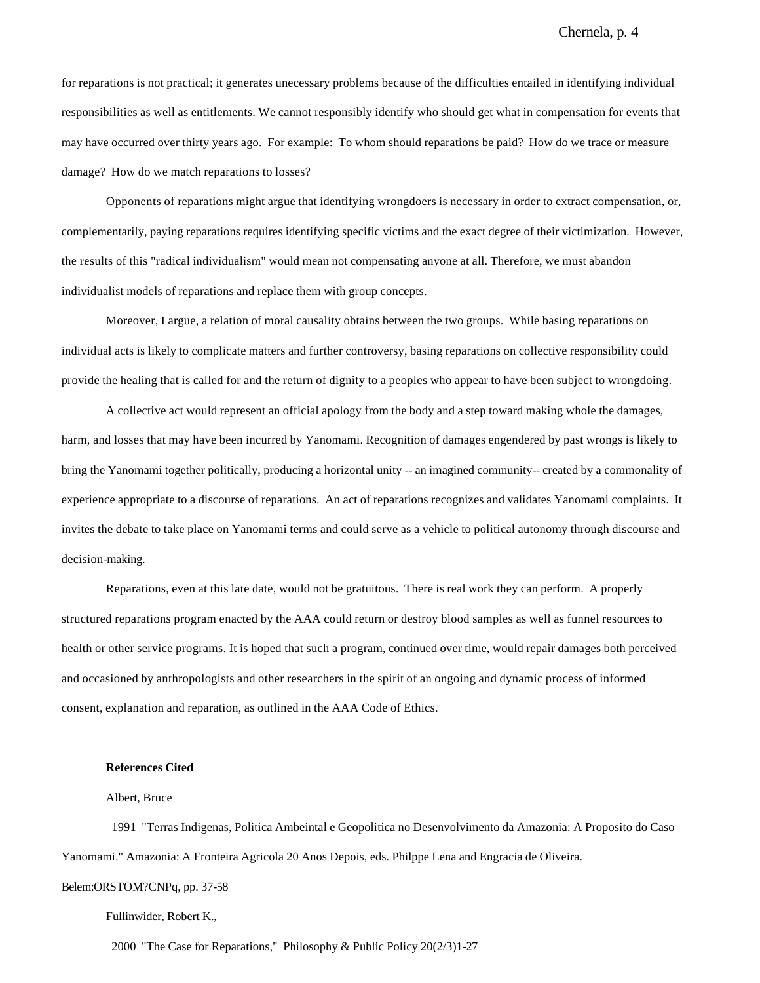for reparations is not practical; it generates unecessary problems because of the difficulties entailed in identifying individual responsibilities as well as entitlements. We cannot responsibly identify who should get what in compensation for events that may have occurred over thirty years ago. For example: To whom should reparations be paid? How do we trace or measure damage? How do we match reparations to losses?

Opponents of reparations might argue that identifying wrongdoers is necessary in order to extract compensation, or, complementarily, paying reparations requires identifying specific victims and the exact degree of their victimization. However, the results of this "radical individualism" would mean not compensating anyone at all. Therefore, we must abandon individualist models of reparations and replace them with group concepts.

Moreover, I argue, a relation of moral causality obtains between the two groups. While basing reparations on individual acts is likely to complicate matters and further controversy, basing reparations on collective responsibility could provide the healing that is called for and the return of dignity to a peoples who appear to have been subject to wrongdoing.

A collective act would represent an official apology from the body and a step toward making whole the damages, harm, and losses that may have been incurred by Yanomami. Recognition of damages engendered by past wrongs is likely to bring the Yanomami together politically, producing a horizontal unity -- an imagined community-- created by a commonality of experience appropriate to a discourse of reparations. An act of reparations recognizes and validates Yanomami complaints. It invites the debate to take place on Yanomami terms and could serve as a vehicle to political autonomy through discourse and decision-making.

Reparations, even at this late date, would not be gratuitous. There is real work they can perform. A properly structured reparations program enacted by the AAA could return or destroy blood samples as well as funnel resources to health or other service programs. It is hoped that such a program, continued over time, would repair damages both perceived and occasioned by anthropologists and other researchers in the spirit of an ongoing and dynamic process of informed consent, explanation and reparation, as outlined in the AAA Code of Ethics.

#### **References Cited**

### Albert, Bruce

 1991 "Terras Indigenas, Politica Ambeintal e Geopolitica no Desenvolvimento da Amazonia: A Proposito do Caso Yanomami." Amazonia: A Fronteira Agricola 20 Anos Depois, eds. Philppe Lena and Engracia de Oliveira.

## Belem:ORSTOM?CNPq, pp. 37-58

Fullinwider, Robert K.,

2000 "The Case for Reparations," Philosophy & Public Policy 20(2/3)1-27